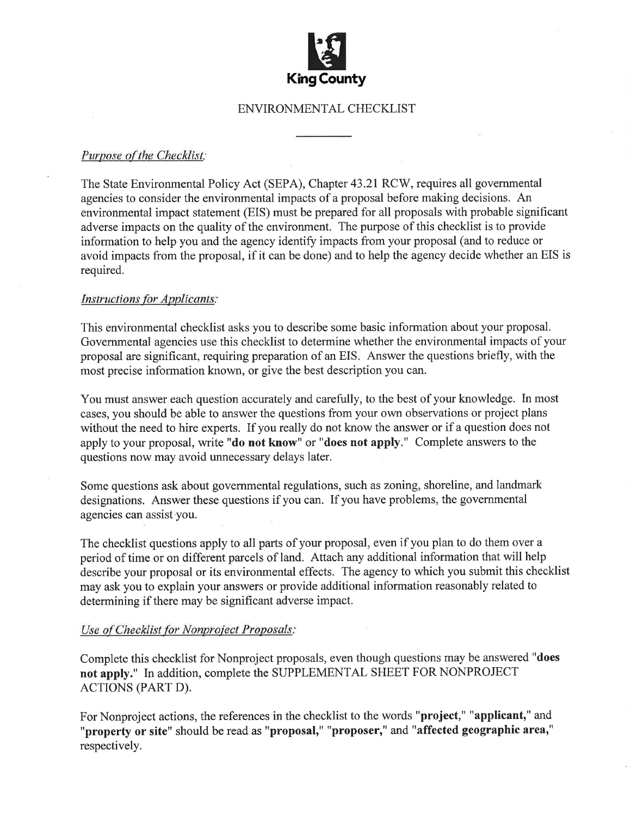

# ENVIRONMENTAL CHECKLIST

## Purpose of the Checklist:

The State Environmental Policy Act (SEPA), Chapter 43.21RCW, requires all governmental agencies to consider the environmental impacts of a proposal before making decisions. An environmental impact statement (EIS) must be prepared for all proposals with probable significant adverse impacts on the quality of the environment. The purpose of this checklist is to provide information to help you and the agency identify impacts from your proposal (and to reduce or avoid impacts from the proposal, if it can be done) and to help the agency decide whether an EIS is required.

### Instructions for Applicants:

This environmental checklist asks you to describe some basic information about your proposal. Governmental agencies use this checklist to determine whether the environmental impacts of your proposal are significant, requiring preparation of an EIS. Answer the questions briefly, with the most precise information known, or give the best description you can.

You must answer each question accurately and carefully, to the best of your knowledge. In most cases, you should be able to answer the questions from your own observations or project plans without the need to hire experts. If you really do not know the answer or if a question does not apply to your proposal, write "do not know" or "does not apply." Complete answers to the questions now may avoid unnecessary delays later.

Some questions ask about governmental regulations, such as zoning, shoreline, and landmark designations. Answer these questions if you can. If you have problems, the governmental agencies can assist you.

The checklist questions apply to all parts of your proposal, even if you plan to do them over <sup>a</sup> period of time or on different parcels of land. Attach any additional information that will help describe your proposal or its environmental effects. The agency to which you submit this checklist may ask you to explain your answers or provide additional information reasonably related to determining if there may be significant adverse impact.

### Use of Checklist for Nonproject Proposals:

Complete this checklist for Nonproject proposals, even though questions may be answered "does not apply." In addition, complete the SUPPLEMENTAL SHEET FOR NONPROJECT ACTIONS (PART D).

For Nonproject actions, the references in the checklist to the words "project," "applicant," and "property or site" should be read as "proposal," "proposer," and "affected geographic area," respectively.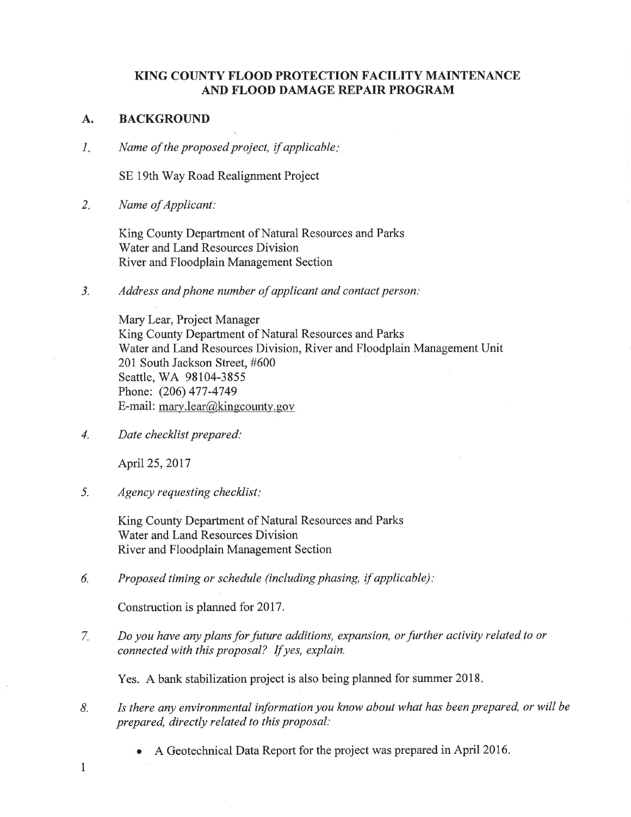# KING COUNTY FLOOD PROTECTION FACILITY MAINTENANCE AND FLOOD DAMAGE REPAIR PROGRAM

#### A. BACKGROUND

 $I_{\tilde{\star}}$ Name of the proposed project, if applicable:

SE 19th Way Road Realignment Project

Name of Applicant:  $2.$ 

> King County Department of Natural Resources and Parks Water and Land Resources Division River and Floodplain Management Section

3. Address and phone number of applicant and contact person.

Mary Lear, Project Manager King County Department of Natural Resources and Parks Water and Land Resources Division, River and Floodplain Management Unit 201 South Jackson Street, #600 Seattle, WA 98104-3855 Phone: (206) 477-4749 E-mail: mary.lear@kingcounty.gov

4. Date checklist prepared:

April25,2017

5. Agency requesting checklist

King County Department of Natural Resources and Parks Water and Land Resources Division River and Floodplain Management Section

6. Proposed timing or schedule (including phasing, if applicable):

Construction is planned for 2017.

Do you have any plans for future additions, expansion, or further activity related to or connected with this proposal? If yes, explain.  $7.$ 

Yes. A bank stabilization project is also being planned for summer 2018.

- 8. Is there any environmental information you know about what has been prepared, or will be prepared, directly related to this proposal:
	- A Geotechnical Data Report for the project was prepared in April 2016.
- 1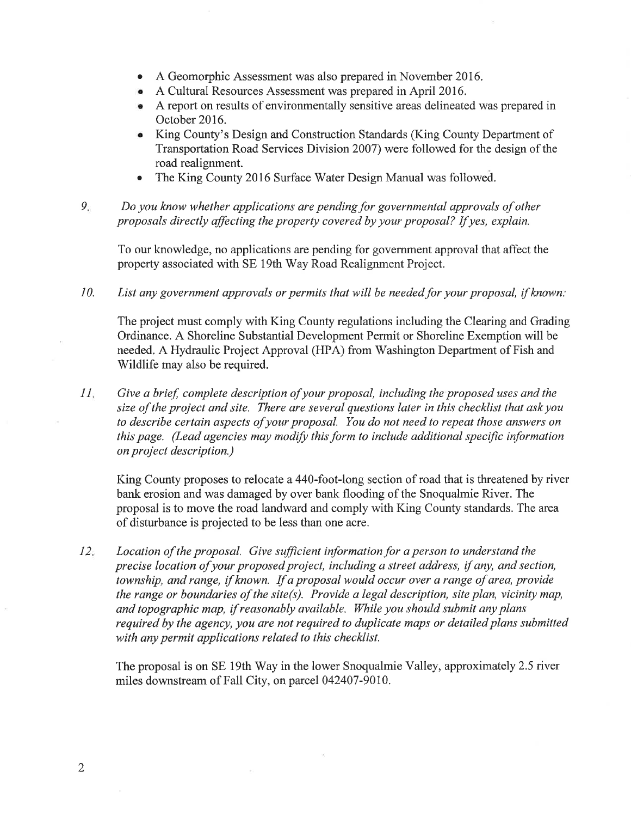- . A Geomorphic Assessment was also prepared in November 2016.
- o A Cultural Resources Assessment was prepared in April 2016.
- o <sup>A</sup>report on results of environmentally sensitive areas delineated was prepared in October 2016.
- . King County's Design and Construction Standards (King County Department of Transportation Road Services Division 2007) were followed for the design of the road realignment.
- The King County 2016 Surface Water Design Manual was followed.
- $9.5$ Do you know whether applications are pending for governmental approvals of other proposals directly affecting the property covered by your proposal? If yes, explain.

To our knowledge, no applications are pending for govemment approval that affect the property associated with SE 19th Way Road Realignment Project.

10. List any government approvals or permits that will be needed for your proposal, if known.

The project must comply with King County regulations including the Clearing and Grading Ordinance. A Shoreline Substantial Development Permit or Shoreline Exemption will be needed. A Hydraulic Project Approval (HPA) from Washington Department of Fish and Wildlife may also be required.

 $11$ , Give a brief, complete description of your proposal, including the proposed uses and the size of the project and site. There are several questions later in this checklist that ask you to describe certain aspects of your proposal. You do not need to repeat those answers on this page. (Lead agencies may modify this form to include additional specific information on project description.)

King County proposes to relocate a 440-foot-long section of road that is threatened by river bank erosion and was damaged by over bank flooding of the Snoqualmie River. The proposal is to move the road landward and comply with King County standards. The area of disturbance is projected to be less than one acre.

 $12.$  Location of the proposal. Give sufficient information for a person to understand the precise location of your proposed project, including a street address, if any, and section, township, and range, if known. If a proposal would occur over a range of area, provide the range or boundaries of the site(s). Provide a legal description, site plan, vicinity map, and topographic map, if reasonably available. While you should submit any plans required by the agency, you are not required to duplicate maps or detailed plans submitted with any permit applications related to this checklist.

The proposal is on SE 19th Way in the lower Snoqualmie Valley, approximately 2.5 river miles downstream of Fall City, on parcel 042407-9010.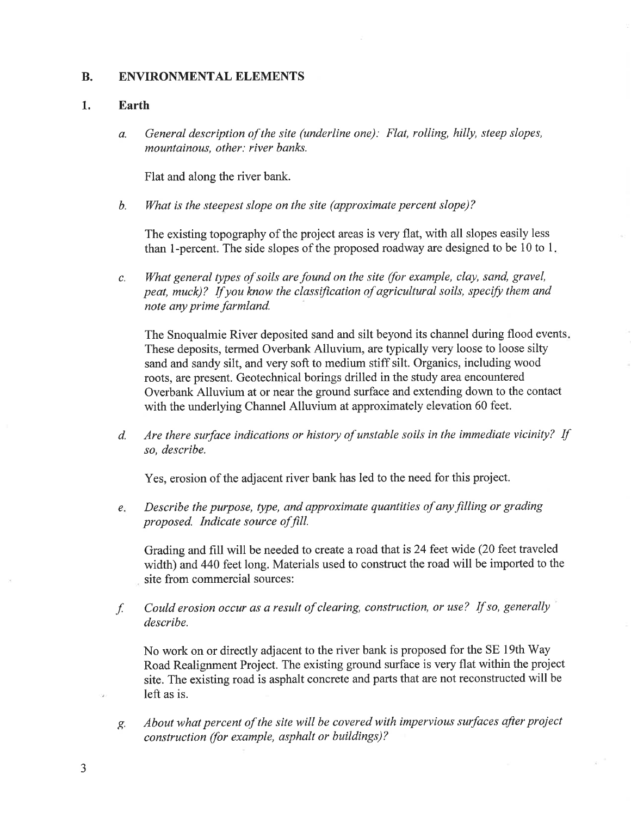## B. ENVIRONMENTAL ELEMENTS

### 1. Earth

a. General description of the site (underline one): Flat, rolling, hilly, steep slopes, mountainous, other: river banks.

Flat and along the river bank.

b. What is the steepest slope on the site (approximate percent slope)?

The existing topography of the project areas is very flat, with all slopes easily less than l-percent. The side slopes of the proposed roadway are designed to be 10 to <sup>1</sup>

What general types of soils are found on the site (for example, clay, sand, gravel, peat, muck)? If you know the classification of agricultural soils, specify them and note any prime farmland. c.

The Snoqualmie River deposited sand and silt beyond its channel during flood events These deposits, termed Overbank Alluvium, are typically very loose to loose silty sand and sandy silt, and very soft to medium stiff silt. Organics, including wood roots, are present. Geotechnical borings drilled in the study area encountered Overbank Alluvium at or near the ground surface and extending down to the contact with the underlying Channel Alluvium at approximately elevation 60 feet.

d. Are there surface indications or history of unstable soils in the immediate vicinity? If so, describe.

Yes, erosion of the adjacent river bank has led to the need for this project.

Describe the purpose, type, and approximate quantities of any filling or grading proposed. Indicate source of fill.  $e_{i}$ 

Grading and fill will be needed to create a road that is 24 feet wide (20 feet traveled width) and 440 feet long. Materials used to construct the road will be imported to the site from commercial sources:

f. Could erosion occur as a result of clearing, construction, or use? If so, generally describe.

No work on or directly adjacent to the river bank is proposed for the SE 19th Way Road Realignment Project. The existing ground surface is very flat within the project site. The existing road is asphalt concrete and parts that are not reconstructed will be left as is.

About what percent of the site will be covered with impervious surfaces after project construction (for example, asphalt or buildings)? g.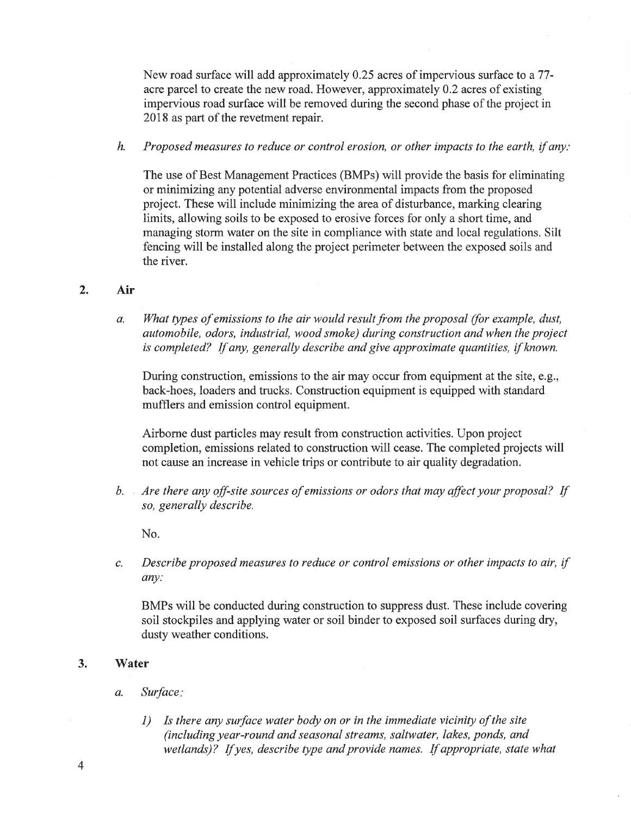New road surface will add approximately 0.25 acres of impervious surface to a77 acre parcel to create the new road. However, approximately 0.2 acres of existing impervious road surface will be removed during the second phase of the project in 2018 as part of the revetment repair.

h. Proposed measures to reduce or control erosion, or other impacts to the earth, if any.

The use of Best Management Practices (BMPs) will provide the basis for eliminating or minimizing any potential adverse environmental impacts from the proposed project. These will include minimizing the area of disturbance, marking clearing limits, allowing soils to be exposed to erosive forces for only a short time, and managing storm water on the site in compliance with state and local regulations. Silt fencing will be installed along the project perimeter between the exposed soils and the river.

# 2. Air

a. Wat types of emissions to the air would result from the proposal (for example, dust, automobile, odors, industrial, wood smoke) during construction and when the project is completed? If any, generally describe and give approximate quantities, if known.

During construction, emissions to the air may occur from equipment at the site, e.g., back-hoes, loaders and trucks. Construction equipment is equipped with standard mufflers and emission control equipment.

Airborne dust particles may result from construction activities. Upon project completion, emissions related to construction will cease. The completed projects will not cause an increase in vehicle trips or contribute to air quality degradation.

b. Are there any off-site sources of emissions or odors that may affect your proposal? If so, generally describe.

No.

c. Describe proposed measures to reduce or control emissíons or other impacts to øir, tf any:

BMPs will be conducted during construction to suppress dust. These include covering soil stockpiles and applying water or soil binder to exposed soil surfaces during dry, dusty weather conditions.

# 3. Water

- Surface: a.
	- 1) Is there any surfuce water body on or in the immediate vicinity of the site (including year-round and seasonal streams, saltwater, lakes, ponds, and wetlands)? If yes, describe type and provide names. If appropriate, state what

4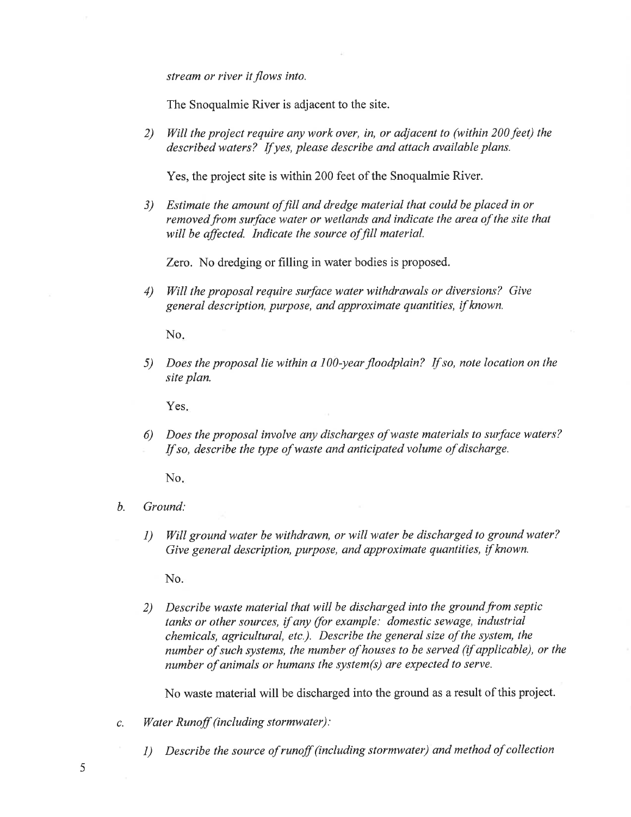stream or river it flows into.

The Snoqualmie River is adjacent to the site.

2) Will the project require any work over, in, or adjacent to (within 200 feet) the described waters? If yes, please describe and attach available plans.

Yes, the project site is within 200 feet of the Snoqualmie River.

 $3)$  Estimate the amount of fill and dredge material that could be placed in or removed from surface water or wetlands and indicate the area of the site that will be affected. Indicate the source of fill material.

Zero. No dredging or filling in water bodies is proposed.

4) Will the proposal require surface water withdrawals or diversions? Give general description, purpose, and approximate quantities, if known.

No

5) Does the proposal lie within a  $100$ -year floodplain? If so, note location on the site plan.

Yes.

6) Does the proposal involve any discharges of waste materials to surface waters? If so, describe the type of waste and anticipated volume of discharge.

No

- b. Ground:
	- l) Will ground water be withdrawn, or will water be discharged to ground water? Give general description, purpose, and approximate quantities, if known.

No.

2) Describe waste material that will be discharged into the ground from septic tanks or other sources, if any (for example: domestic sewage, industrial chemicals, agricultural, etc.). Describe the general size of the system, the number of such systems, the number of houses to be served (if applicable), or the number of animals or humans the system(s) are expected to serve.

No waste material will be discharged into the ground as a result of this project.

- c. *Water Runoff (including stormwater):* 
	- I) Describe the source of runoff (including stormwater) and method of collection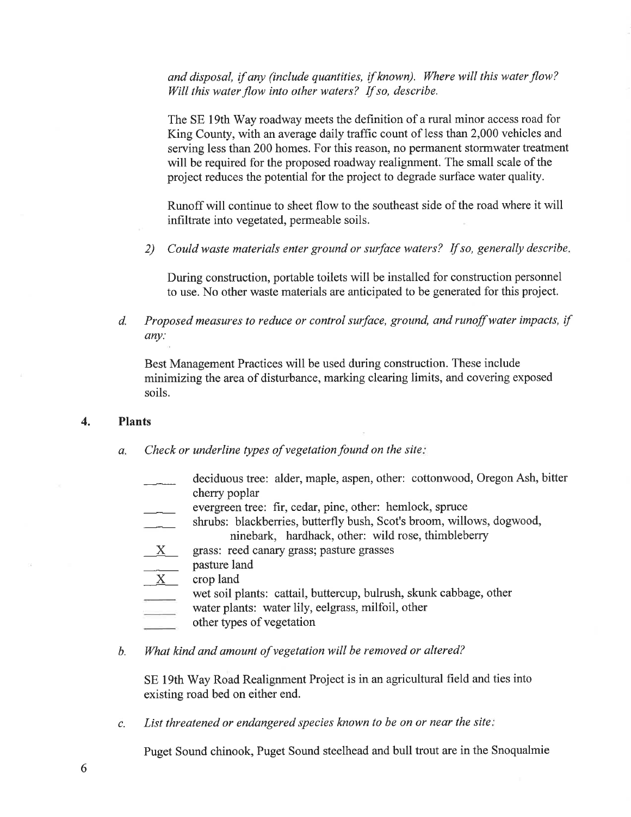and disposal, if any (include quantities, if known). Where will this water flow? Will this water flow into other waters? If so, describe.

The SE 19th Way roadway meets the definition of a rural minor access road for King County, with an average daily traffic count of less than 2,000 vehicles and serving less than 200 homes. For this reason, no permanent stormwater treatment will be required for the proposed roadway realignment. The small scale of the project reduces the potential for the project to degrade surface water quality.

Runoff will continue to sheet flow to the southeast side of the road where it will infiltrate into vegetated, permeable soils.

2) Could waste materials enter ground or surface waters? If so, generally describe.

During construction, portable toilets will be installed for construction personnel to use. No other waste materials are anticipated to be generated for this project.

d. Proposed measures to reduce or control surface, ground, and runoffwater impacts, if any:

Best Management Practices will be used during construction. These include minimizing the area of disturbance, marking clearing limits, and covering exposed soils.

#### 4. Plants

- $a.$  Check or underline types of vegetation found on the site:
	- deciduous tree: alder, maple, aspen, other: cottonwood, Oregon Ash, bitter cherry poplar
	- evergreen tree: fir, cedar, pine, other: hemlock, spruce
	- shrubs: blackberries, butterfly bush, Scot's broom, willows, dogwood, ninebark, hardhack, other: wild rose, thimbleberry
	- X grass: reed canary grass; pasture grasses
	- pasture land
	- X crop land
	- wet soil plants: cattail, buttercup, bulrush, skunk cabbage, other
	- water plants: water lily, eelgrass, milfoil, other
	- other types of vegetation
- b. What kind and amount of vegetation will be removed or altered?

SE 19th Way Road Realignment Project is in an agricultural field and ties into existing road bed on either end.

List threatened or endangered species known to be on or near the site: c.

Puget Sound chinook, Puget Sound steelhead and bull trout are in the Snoqualmie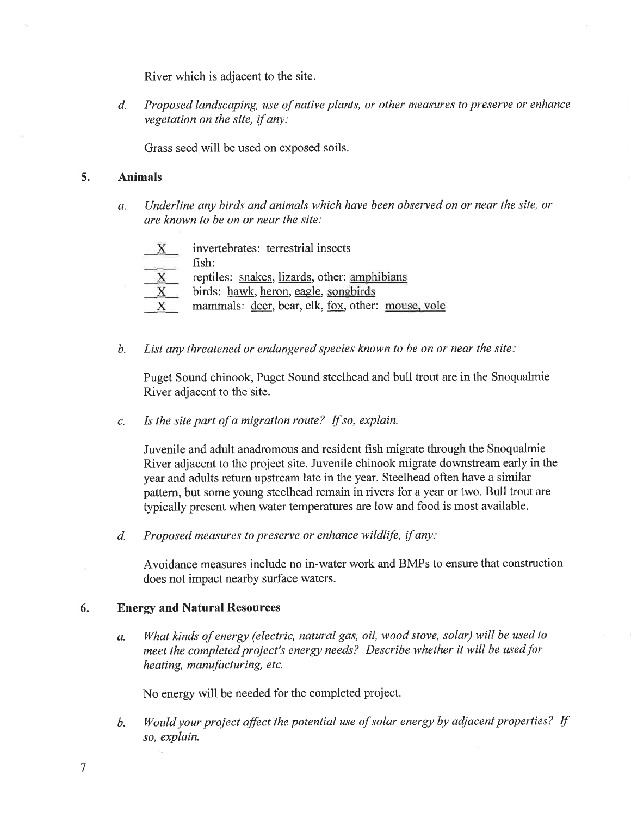River which is adjacent to the site.

d. Proposed landscaping, use of native plants, or other measures to preserve or enhance vegetation on the site, if any:

Grass seed will be used on exposed soils.

#### 5. Animals

- a. Underline any birds and animals which have been observed on or near the site, or are known to be on or near the site:
	- X X X X invertebrates: terrestrial insects fish: reptiles: snakes, lizards, other: amphibians birds: hawk, heron, eagle, songbirds mammals: deer, bear, elk, fox, other: mouse. vole
- b. List any threatened or endangered species known to be on or near the site:

Puget Sound chinook, Puget Sound steelhead and bull trout are in the Snoqualmie River adjacent to the site.

c. Is the site pørt of a migration route? If so, explain.

Juvenile and adult anadromous and resident fish migrate through the Snoqualmie River adjacent to the project site. Juvenile chinook migrate downstream early in the year and adults return upstream late in the year. Steelhead often have a similar pattern, but some young steelhead remain in rivers for a year or two. Bull trout are typically present when water temperatures are low and food is most available.

 $d.$  Proposed measures to preserve or enhance wildlife, if any:

Avoidance measures include no in-water work and BMPs to ensure that construction does not impact nearby surface waters.

### 6. Energy and Natural Resources

a. What kinds of energy (electric, natural gas, oil, wood stove, solar) will be used to meet the completed project's energy needs? Describe whether it will be used for heating, manufacturing, etc.

No energy will be needed for the completed project.

b. Would your project affect the potential use of solar energy by adjacent properties? If so, explain.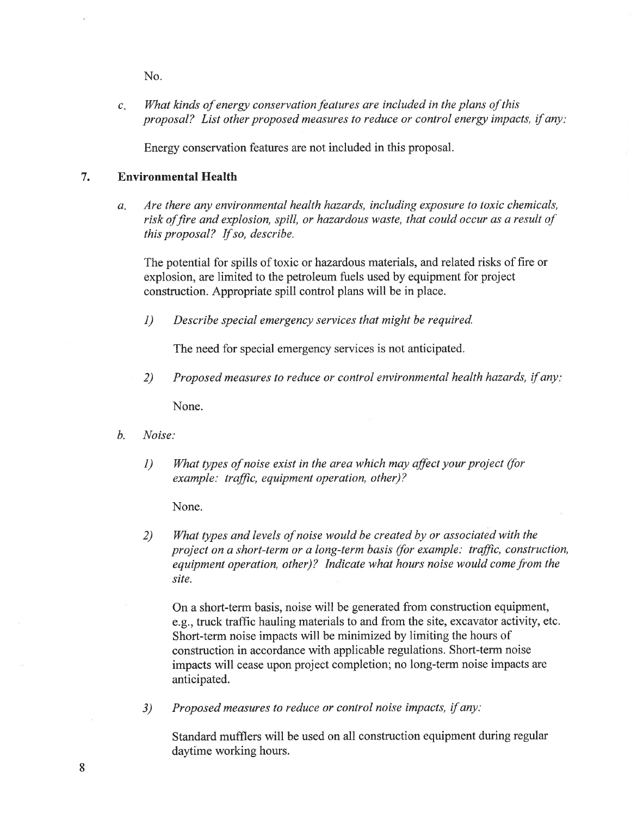No.

 $c<sub>r</sub>$  What kinds of energy conservation features are included in the plans of this proposal? List other proposed measures to reduce or control energy impacts, if any!

Energy conservation features are not included in this proposal.

## 7. Environmental Health

Are there any environmental health hazards, including exposure to toxic chemicals, risk offire and explosion, spill, or hazardous waste, that could occur as a result of this proposal? If so, describe. a.

The potential for spills of toxic orhazardous materials, and related risks of fire or explosion, are limited to the petroleum fuels used by equipment for project construction. Appropriate spill control plans will be in place.

l) Describe special emergency services that might be required.

The need for special emergency services is not anticipated.

- 2) Proposed measures to reduce or control environmental health hazards, if any: None.
- b. Noise:
	- $I$ ) What types of noise exist in the area which may affect your project (for  $example: traffic, equipment operation, other$ )?

None.

2) What types and levels of noise would be created by or associated with the project on a short-term or a long-term basis (for example: traffic, construction, equipment operation, other)? Indicate what hours noise would come from the site.

On a short-term basis, noise will be generated from construction equipment, e.g., truck traffic hauling materials to and from the site, excavator activity, etc. Short-term noise impacts will be minimized by limiting the hours of construction in accordance with applicable regulations. Short-term noise impacts will cease upon project completion; no long-term noise impacts are anticipated.

3) Proposed measures to reduce or control noise impacts, if any:

Standard mufflers will be used on all construction equipment during regular daytime working hours.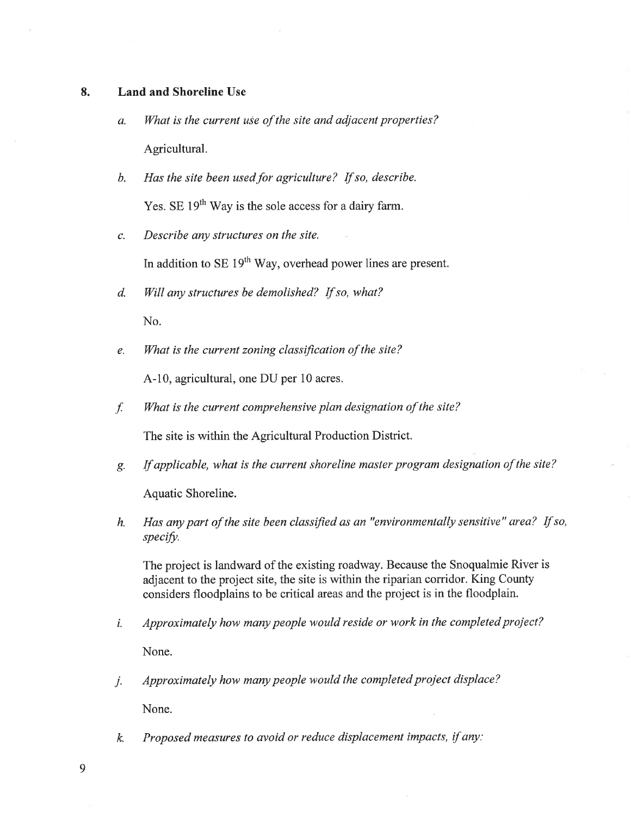## 8. Land and Shoreline Use

- a. What is the current use of the site and adjacent properties? Agricultural.
- b. Has the site been used for agriculture? If so, describe. Yes. SE 19<sup>th</sup> Way is the sole access for a dairy farm.
- c. Describe any structures on the site.

In addition to SE  $19<sup>th</sup>$  Way, overhead power lines are present.

d. Will any structures be demolished? If so, what?

No.

e. What is the current zoning classffication of the site?

A-10, agricultural, one DU per 10 acres.

f. What is the current comprehensive plan designation of the site?

The site is within the Agricultural Production District.

- g. If applicable, what is the current shoreline master program designation of the site? Aquatic Shoreline.
- h. Has any part of the site been classified as an "environmentally sensitive" area? If so, specify.

The project is landward of the existing roadway. Because the Snoqualmie River is adjacent to the project site, the site is within the riparian corridor. King County considers floodplains to be critical areas and the project is in the floodplain.

- i. Approximately how many people would reside or work in the completed project? None.
- j. Approximately how many people would the completed project displace?

None.

 $k.$  Proposed measures to avoid or reduce displacement impacts, if any:

9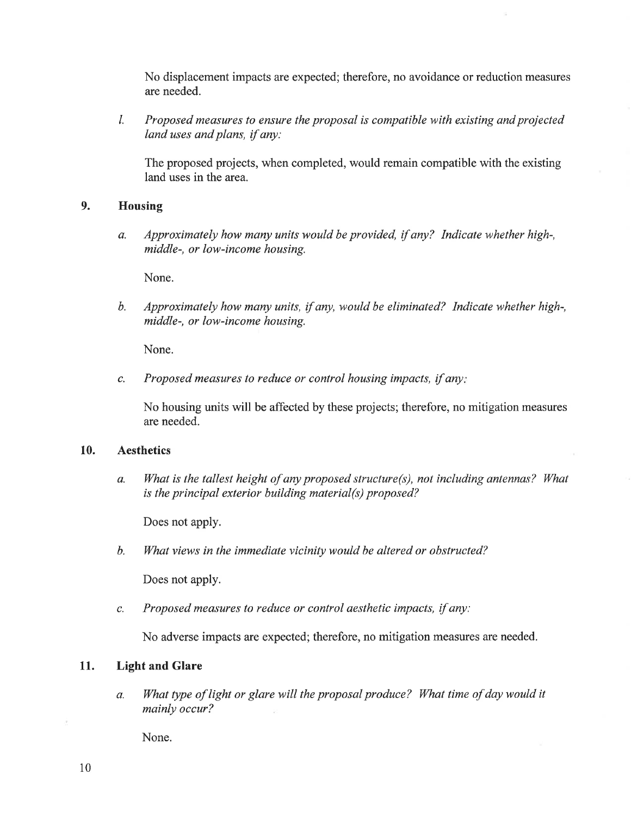No displacement impacts are expected; therefore, no avoidance or reduction measures are needed.

Proposed measures to ensure the proposal is compatible with existing and projected land uses and plans, if any: t.

The proposed projects, when completed, would remain compatible with the existing land uses in the area.

# 9. Housing

a. Approximately how many units would be provided, if any? Indicate whether high-, middle-, or low-income housing.

None.

b. Approximately how many units, if any, would be eliminated? Indicate whether high-, middle-, or low-income housing.

None.

c. Proposed measures to reduce or control housing impacts, if any:

No housing units will be affected by these projects; therefore, no mitigation measures are needed.

#### **Aesthetics** 10.

a. What is the tallest height of any proposed structure(s), not including antennas? What is the principal exterior building material(s) proposed?

Does not apply.

b. What views in the immediate vicinity would be altered or obstructed?

Does not apply.

c. Proposed measures to reduce or control aesthetic impacts, if any:

No adverse impacts are expected; therefore, no mitigation measures are needed.

#### 11. Light and Glare

What type of light or glare will the proposal produce? What time of day would it mainly occur? a.

None.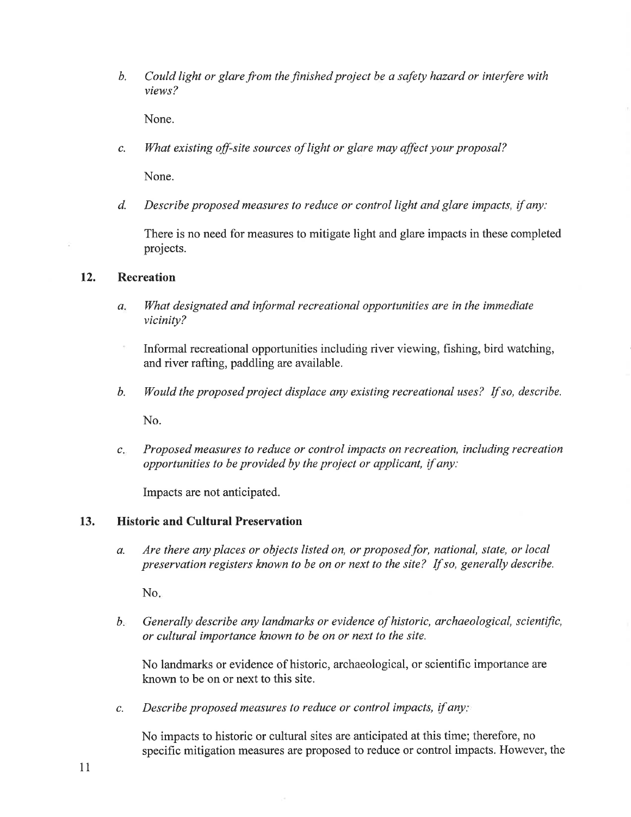b. Could light or glare from the finished project be a safety hazard or interfere with views?

None.

What existing off-site sources of light or glare may affect your proposal?  $\overline{c}$ .

None.

Describe proposed measures to reduce or control light and glare impacts, if any: d.

There is no need for measures to mitigate light and glare impacts in these completed projects.

# 12. Recreation

- What designated and informal recreational opportunities are in the immediate vicinity? a.
- $\bar{\bar{\tau}}$ Informal recreational opportunities including river viewing, fishing, bird watching, and river rafting, paddling are available.
- b. Would the proposed project displace any existing recreational uses? If so, describe.

No.

 $c<sub>r</sub>$  Proposed measures to reduce or control impacts on recreation, including recreation opportunities to be provided by the project or applicant, if any:

Impacts are not anticipated.

# 13. Historic and Cultural Preservation

a. Are there any places or objects listed on, or proposed for, national, state, or local preservation registers known to be on or next to the site? If so, generally describe.

No

Generally describe any landmarks or evidence of historic, archaeological, scientific, or cultural importance known to be on or next to the site.  $b_{\cdot}$ 

No landmarks or evidence of historic, archaeological, or scientific importance are known to be on or next to this site.

Describe proposed measures to reduce or control impacts, if any: c.

No impacts to historic or cultural sites are anticipated at this time; therefore, no specific mitigation measures are proposed to reduce or control impacts. However, the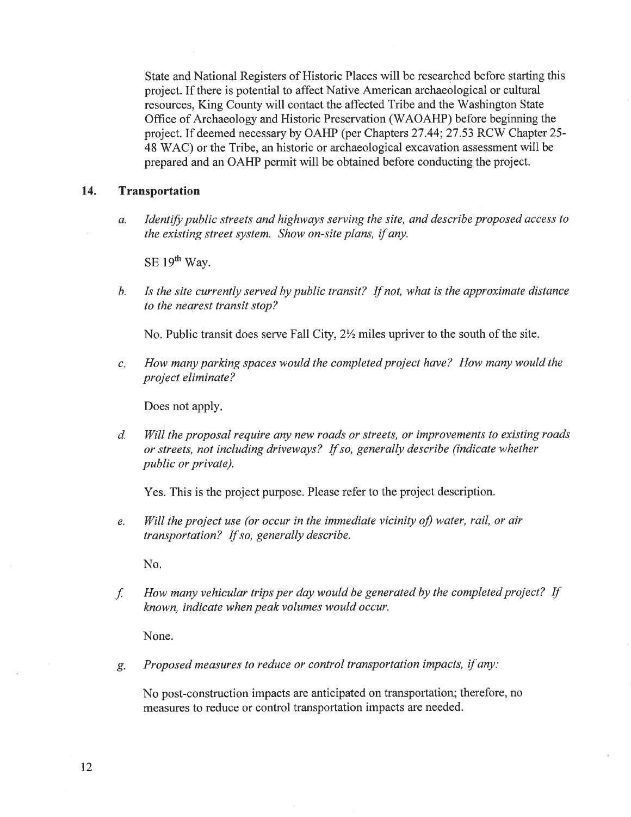State and National Registers of Historic Places will be researched before starting this project. If there is potential to affect Native American archaeological or cultural resources, King County will contact the affected Tribe and the Washington State Offrce of Archaeology and Historic Preservation (WAOAHP) before beginning the project. If deemed necessary by OAHP (per Chapters 27.44; 27.53 RCW Chapter 25-48 WAC) or the Tribe, an historic or archaeological excavation assessment will be prepared and an OAHP permit will be obtained before conducting the project.

#### 14. **Transportation**

a. Identify public streets and highways serving the site, and describe proposed access to the existing street system. Show on-site plans, if any.

 $SE$  19<sup>th</sup> Way.

b. Is the site currently served by public transit? If not, what is the approximate distance to the nearest transit stop?

No. Public transit does serve Fall City,  $2\frac{1}{2}$  miles upriver to the south of the site.

c. How many parking spaces would the completed project have? How many would the project eliminate?

Does not apply.

d. Will the proposal require any new roads or streets, or improvements to existing roads or streets, not including driveways? If so, generally describe (indicate whether public or private).

Yes. This is the project purpose. Please refer to the project description.

e. Will the project use (or occur in the immediate vicinity of) water, rail, or air transportation? If so, generally describe.

No.

f. How many vehicular trips per day would be generated by the completed project? If known, indicate when peak volumes would occur.

None.

Proposed measures to reduce or control transportation impacts, if any.  $g_{\rm e}$ 

No post-construction impacts are anticipated on transportation; therefore, no measures to reduce or control transportation impacts are needed.